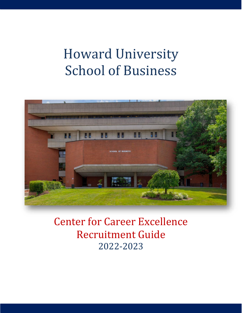# Howard University School of Business



Center for Career Excellence Recruitment Guide 2022-2023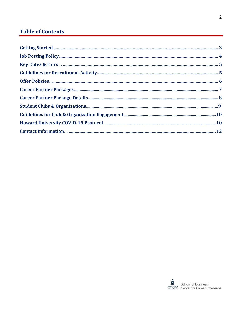# **Table of Contents**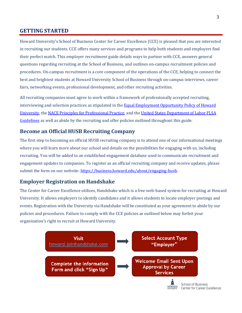#### <span id="page-2-0"></span>**GETTING STARTED**

Howard University's School of Business Center for Career Excellence (CCE) is pleased that you are interested in recruiting our students. CCE offers many services and programs to help both students and employers find their perfect match. This employer recruitment guide details ways to partner with CCE, answers general questions regarding recruiting at the School of Business, and outlines on-campus recruitment policies and procedures. On-campus recruitment is a core component of the operations of the CCE, helping to connect the best and brightest students at Howard University School of Business through on-campus interviews, career fairs, networking events, professional development, and other recruiting activities.

All recruiting companies must agree to work within a framework of professionally accepted recruiting, interviewing and selection practices as stipulated in th[e Equal Employment Opportunity Policy of Howard](https://hr.howard.edu/eeo) [University, t](https://hr.howard.edu/eeo)h[e NACE Principles for Professional Practice, a](https://www.naceweb.org/career-development/organizational-structure/principles-for-ethical-professional-practice/)nd th[e United States Department of Labor FLSA](https://www.dol.gov/agencies/whd/flsa) [Guidelines](https://www.dol.gov/agencies/whd/flsa) as well as abide by the recruiting and offer policies outlined throughout this guide.

#### **Become an Official HUSB Recruiting Company**

The first step to becoming an official HUSB recruiting company is to attend one of our informational meetings where you will learn more about our school and details on the possibilities for engaging with us, including recruiting. You will be added to an established engagement database used to communicate recruitment and engagement updates to companies. To register as an official recruiting company and receive updates, please submit the form on our website: [https://business.howard.edu/about/engaging-husb.](https://business.howard.edu/about/engaging-husb)

#### **Employer Registration on Handshake**

The Center for Career Excellence utilizes, Handshake which is a free web-based system for recruiting at Howard University. It allows employers to identify candidates and it allows students to locate employer postings and events. Registration with the University via Handshake will be constituted as your agreement to abide by our policies and procedures. Failure to comply with the CCE policies as outlined below may forfeit your organization's right to recruit at Howard University.

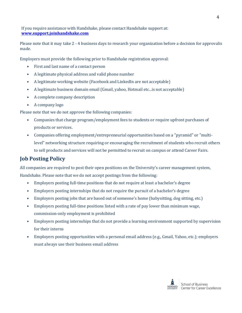If you require assistance with Handshake, please contact Handshake support at: **[www.support.joinhandshake.com](https://support.joinhandshake.com/hc/en-us/articles/218693198-How-to-Post-a-Job)**

Please note that it may take 2 - 4 business days to research your organization before a decision for approvalis made.

Employers must provide the following prior to Handshake registration approval:

- First and last name of a contact person
- A legitimate physical address and valid phone number
- A legitimate working website (Facebook and LinkedIn are not acceptable)
- A legitimate business domain email (Gmail, yahoo, Hotmail etc...is not acceptable)
- A complete company description
- A company logo

Please note that we do not approve the following companies:

- Companies that charge program/employment fees to students or require upfront purchases of products or services.
- Companies offering employment/entrepreneurial opportunities based on a "pyramid" or "multilevel" networking structure requiring or encouraging the recruitment of students who recruit others to sell products and services will not be permitted to recruit on campus or attend Career Fairs.

# <span id="page-3-0"></span>**Job Posting Policy**

All companies are required to post their open positions on the University's career management system, Handshake. Please note that we do not accept postings from the following:

- Employers posting full-time positions that do not require at least a bachelor's degree
- Employers posting internships that do not require the pursuit of a bachelor's degree
- Employers posting jobs that are based out of someone's home (babysitting, dog sitting, etc.)
- Employers posting full-time positions listed with a rate of pay lower than minimum wage, commission-only employment is prohibited
- Employers posting internships that do not provide a learning environment supported by supervision for their interns
- Employers posting opportunities with a personal email address (e.g., Gmail, Yahoo, etc.); employers must always use their business email address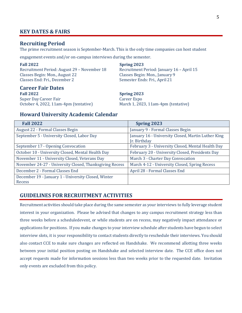#### <span id="page-4-0"></span>**KEY DATES & FAIRS**

#### **Recruiting Period**

The prime recruitment season is September-March. This is the only time companies can host student

engagement events and/or on-campus interviews during the semester.

Recruitment Period: August 29 – November 18 Recruitment Period: January 16 – April 15 Classes Begin: Mon., August 22 Classes Begin: Mon., January 9 Classes End: Fri., December 2 Semester Ends: Fri., April 21

#### **Career Fair Dates Fall 2022 Spring 2023** Super Day Career Fair **Career Expo**

**Fall 2022 Spring 2023**

October 4, 2022, 11am-4pm (tentative) March 1, 2023, 11am-4pm (tentative)

#### **Howard University Academic Calendar**

| <b>Fall 2022</b>                                        | <b>Spring 2023</b>                                                 |
|---------------------------------------------------------|--------------------------------------------------------------------|
| <b>August 22 - Formal Classes Begin</b>                 | January 9 - Formal Classes Begin                                   |
| September 5 - University Closed, Labor Day              | January 16 - University Closed, Martin Luther King<br>Ir. Birthday |
| September 17 - Opening Convocation                      | February 3 - University Closed, Mental Health Day                  |
| October 10 - University Closed, Mental Health Day       | February 20 - University Closed, Presidents Day                    |
| November 11 - University Closed, Veterans Day           | March 3 - Charter Day Convocation                                  |
| November 24-27 - University Closed, Thanksgiving Recess | March 4-12 - University Closed, Spring Recess                      |
| December 2 - Formal Classes End                         | April 28 - Formal Classes End                                      |
| December 19 - January 1 - University Closed, Winter     |                                                                    |
| Recess                                                  |                                                                    |

#### **GUIDELINES FOR RECRUITMENT ACTIVITIES**

Recruitment activities should take place during the same semester as your interviews to fully leverage student interest in your organization. Please be advised that changes to any campus recruitment strategy less than three weeks before a scheduledevent, or while students are on recess, may negatively impact attendance or applications for positions. If you make changes to your interview schedule after students have begun to select interview slots, it is your responsibility to contact students directly to reschedule their interviews. You should also contact CCE to make sure changes are reflected on Handshake. We recommend allotting three weeks between your initial position posting on Handshake and selected interview date. The CCE office does not accept requests made for information sessions less than two weeks prior to the requested date. Invitation only events are excluded from this policy.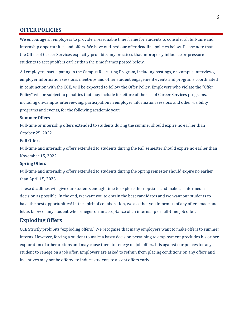#### <span id="page-5-0"></span>**OFFER POLICIES**

We encourage all employers to provide a reasonable time frame for students to consider all full-time and internship opportunities and offers. We have outlined our offer deadline policies below. Please note that the Office of Career Services explicitly prohibits any practices that improperly influence or pressure students to accept offers earlier than the time frames posted below.

All employers participating in the Campus Recruiting Program, including postings, on-campus interviews, employer information sessions, meet-ups and other student engagement events and programs coordinated in conjunction with the CCE, will be expected to follow the Offer Policy. Employers who violate the "Offer Policy" will be subject to penalties that may include forfeiture of the use of Career Services programs, including on-campus interviewing, participation in employer information sessions and other visibility programs and events, for the following academic year:

#### **Summer Offers**

Full-time or internship offers extended to students during the summer should expire no earlier than October 25, 2022.

#### **Fall Offers**

Full-time and internship offers extended to students during the Fall semester should expire no earlier than November 15, 2022.

#### **Spring Offers**

Full-time and internship offers extended to students during the Spring semester should expire no earlier than April 15, 2023.

These deadlines will give our students enough time to explore their options and make as informed a decision as possible. In the end, we want you to obtain the best candidates and we want our students to have the best opportunities! In the spirit of collaboration, we ask that you inform us of any offers made and let us know of any student who reneges on an acceptance of an internship or full-time job offer.

#### **Exploding Offers**

CCE Strictly prohibits "exploding offers." We recognize that many employers want to make offers to summer interns. However, forcing a student to make a hasty decision pertaining to employment precludes his or her exploration of other options and may cause them to renege on job offers. It is against our polices for any student to renege on a job offer. Employers are asked to refrain from placing conditions on any offers and incentives may not be offered to induce students to accept offers early.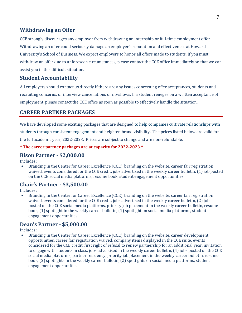#### **Withdrawing an Offer**

CCE strongly discourages any employer from withdrawing an internship or full-time employment offer. Withdrawing an offer could seriously damage an employer's reputation and effectiveness at Howard University's School of Business. We expect employers to honor all offers made to students. If you must withdraw an offer due to unforeseen circumstances, please contact the CCE office immediately so that we can assist you in this difficult situation.

#### **Student Accountability**

All employers should contact us directly if there are any issues concerning offer acceptances, students and recruiting concerns, or interview cancellations or no-shows. If a student reneges on a written acceptance of employment, please contact the CCE office as soon as possible to effectively handle the situation.

### <span id="page-6-0"></span>**CAREER PARTNER PACKAGES**

We have developed some exciting packages that are designed to help companies cultivate relationships with students through consistent engagement and heighten brand visibility. The prices listed below are valid for the full academic year, 2022-2023. Prices are subject to change and are non-refundable.

#### **\* The career partner packages are at capacity for 2022-2023.\***

#### **Bison Partner - \$2,000.00**

Includes:

• Branding in the Center for Career Excellence (CCE), branding on the website, career fair registration waived, events considered for the CCE credit, jobs advertised in the weekly career bulletin, (1) job posted on the CCE social media platforms, resume book, student engagement opportunities

#### **Chair's Partner - \$3,500.00**

Includes:

• Branding in the Center for Career Excellence (CCE), branding on the website, career fair registration waived, events considered for the CCE credit, jobs advertised in the weekly career bulletin, (2) jobs posted on the CCE social media platforms, priority job placement in the weekly career bulletin, resume book, (1) spotlight in the weekly career bulletin, (1) spotlight on social media platforms, student engagement opportunities

### **Dean's Partner - \$5,000.00**

Includes:

• Branding in the Center for Career Excellence (CCE), branding on the website, career development opportunities, career fair registration waived, company items displayed in the CCE suite, events considered for the CCE credit, first right of refusal to renew partnership for an additional year, invitation to engage with students in class, jobs advertised in the weekly career bulletin, (4) jobs posted on the CCE social media platforms, partner residency, priority job placement in the weekly career bulletin, resume book, (2) spotlights in the weekly career bulletin, (2) spotlights on social media platforms, student engagement opportunities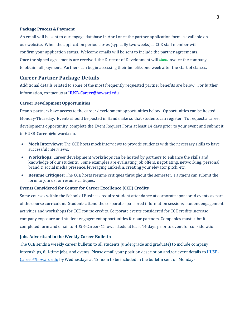#### **Package Process & Payment**

An email will be sent to our engage database in April once the partner application form is available on our website. When the application period closes (typically two weeks), a CCE staff member will confirm your application status. Welcome emails will be sent to include the partner agreements. Once the signed agreements are received, the Director of Development will then invoice the company to obtain full payment. Partners can begin accessing their benefits one week after the start of classes.

#### <span id="page-7-0"></span>**Career Partner Package Details**

Additional details related to some of the most frequently requested partner benefits are below. For further information, contact us at [HUSB-Career@howard.edu.](mailto:HUSB-Career@howard.edu)

#### **Career Development Opportunities**

Dean's partners have access to the career development opportunities below. Opportunities can be hosted Monday-Thursday. Events should be posted in Handshake so that students can register. To request a career development opportunity, complete the Event Request Form at least 14 days prior to your event and submit it to HUSB-Career@howard.edu.

- **Mock Interviews:** The CCE hosts mock interviews to provide students with the necessary skills to have successful interviews.
- **Workshops:** Career development workshops can be hosted by partners to enhance the skills and knowledge of our students. Some examples are evaluating job offers, negotiating, networking, personal brand & social media presence, leveraging LinkedIn, creating your elevator pitch, etc.
- **Resume Critiques:** The CCE hosts resume critiques throughout the semester. Partners can submit the form to join us for resume critiques.

#### **Events Considered for Center for Career Excellence (CCE) Credits**

Some courses within the School of Business require student attendance at corporate sponsored events as part of the course curriculum. Students attend the corporate sponsored information sessions, student engagement activities and workshops for CCE course credits. Corporate events considered for CCE credits increase company exposure and student engagement opportunities for our partners. Companies must submit completed form and email to HUSB-Careers@howard.edu at least 14 days prior to event for consideration.

#### **Jobs Advertised in the Weekly Career Bulletin**

The CCE sends a weekly career bulletin to all students (undergrade and graduate) to include company internships, full-time jobs, and events. Please email your position description and/or event details to **HUSB-**[Career@howard.edu](mailto:HUSB-Career@howard.edu) by Wednesdays at 12 noon to be included in the bulletin sent on Mondays.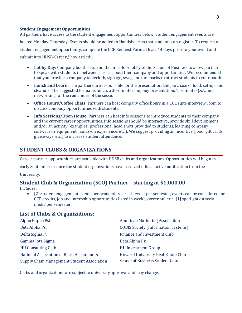#### **Student Engagement Opportunities**

All partners have access to the student engagement opportunities below. Student engagement events are hosted Monday-Thursday. Events should be added to Handshake so that students can register. To request a student engagement opportunity, complete the CCE Request Form at least 14 days prior to your event and submit it to HUSB-Career@howard.edu.

- **Lobby Day:** Company booth setup on the first-floor lobby of the School of Business to allow partners to speak with students in between classes about their company and opportunities. We recommended that you provide a company tablecloth, signage, swag and/or snacks to attract students to your booth.
- **Lunch and Learn:** The partners are responsible for the presentation, the purchase of food, set-up, and cleanup. The suggested format is lunch, a 30-minute company presentation, 15-minute Q&A, and networking for the remainder of the session.
- **Office Hours/Coffee Chats:** Partners can host company office hours in a CCE suite interview room to discuss company opportunities with students.
- **Info Sessions/Open House:** Partners can host info sessions to introduce students to their company and the current career opportunities. Info sessions should be interactive, provide skill development and/or an activity (examples: professional head shots provided to students, learning company software or equipment, hands-on experience, etc.). We suggest providing an incentive (food, gift cards, giveaways, etc.) to increase student attendance.

### <span id="page-8-0"></span>**STUDENT CLUBS & ORGANIZATIONS**

Career partner opportunities are available with HUSB clubs and organizations. Opportunities will begin in

early September or once the student organizations have received official active notification from the

University.

### **Student Club & Organization (SCO) Partner – starting at \$1,000.00**

Includes:

• [2] Student engagement events per academic year; [1] event per semester, events can be considered for CCE credits, job and internship opportunities listed in weekly career bulletin, [1] spotlight on social media per semester

#### **List of Clubs & Organizations:**

| Alpha Kappa Psi                             | <b>American Marketing Association</b>      |
|---------------------------------------------|--------------------------------------------|
| Beta Alpha Psi                              | <b>COBIS Society (Information Systems)</b> |
| Delta Sigma Pi                              | Finance and Investment Club                |
| Gamma Iota Sigma                            | Beta Alpha Psi                             |
| <b>HU Consulting Club</b>                   | <b>HU Investment Group</b>                 |
| National Association of Black Accountants   | Howard University Real Estate Club         |
| Supply Chain Management Student Association | <b>School of Business Student Council</b>  |

<span id="page-8-1"></span>Clubs and organizations are subject to university approval and may change.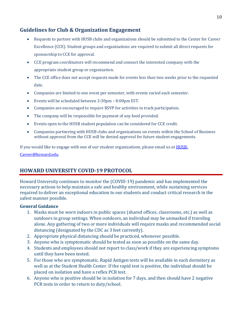## **Guidelines for Club & Organization Engagement**

- Requests to partner with HUSB clubs and organizations should be submitted to the Center for Career Excellence (CCE). Student groups and organizations are required to submit all direct requests for sponsorship to CCE for approval.
- CCE program coordinators will recommend and connect the interested company with the appropriate student group or organization.
- The CCE office does not accept requests made for events less than two weeks prior to the requested date.
- Companies are limited to one event per semester, with events varied each semester.
- Events will be scheduled between 3:30pm 8:00pm EST.
- Companies are encouraged to require RSVP for activities to track participation.
- The company will be responsible for payment of any food provided.
- Events open to the HUSB student population can be considered for CCE credit.
- Companies partnering with HUSB clubs and organizations on events within the School of Business without approval from the CCE will be denied approval for future student engagements.

If you would like to engage with one of our student organizations, please email us at **HUSB**-

[Career@howard.edu.](mailto:HUSB-Career@howard.edu)

# <span id="page-9-0"></span>**HOWARD UNIVERSITY COVID-19 PROTOCOL**

Howard University continues to monitor the (COVID-19) pandemic and has implemented the necessary actions to help maintain a safe and healthy environment, while sustaining services required to deliver an exceptional education to our students and conduct critical research in the safest manner possible.

#### **General Guidance**

- 1. Masks must be worn indoors in public spaces (shared offices, classrooms, etc.) as well as outdoors in group settings. When outdoors, an individual may be unmasked if traveling alone. Any gathering of two or more individuals will require masks and recommended social distancing (designated by the CDC as 3 feet currently).
- 2. Appropriate physical distancing should be practiced, whenever possible.
- 3. Anyone who is symptomatic should be tested as soon as possible on the same day.
- 4. Students and employees should not report to class/work if they are experiencing symptoms until they have been tested.
- 5. For those who are symptomatic, Rapid Antigen tests will be available in each dormitory as well as at the Student Health Center. If the rapid test is positive, the individual should be placed on isolation and have a reflex PCR test.
- 6. Anyone who is positive should be in isolation for 7 days, and then should have 2 negative PCR tests in order to return to duty/school.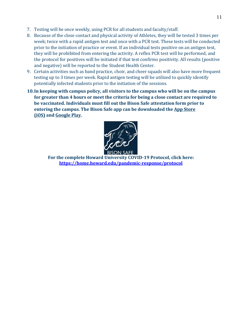- 7. Testing will be once weekly, using PCR for all students and faculty/staff.
- 8. Because of the close contact and physical activity of Athletes, they will be tested 3 times per week; twice with a rapid antigen test and once with a PCR test. These tests will be conducted prior to the initiation of practice or event. If an individual tests positive on an antigen test, they will be prohibited from entering the activity. A reflex PCR test will be performed, and the protocol for positives will be initiated if that test confirms positivity. All results (positive and negative) will be reported to the Student Health Center.
- 9. Certain activities such as band practice, choir, and cheer squads will also have more frequent testing up to 3 times per week. Rapid antigen testing will be utilized to quickly identify potentially infected students prior to the initiation of the sessions.
- **10.In keeping with campus policy, all visitors to the campus who will be on the campus for greater than 4 hours or meet the criteria for being a close contact are required to be vaccinated. Individuals must fill out the Bison Safe attestation form prior to entering the campus. The Bison Safe app can be downloaded the App [Store](https://apps.apple.com/app/id1493224155) [\(iOS\)](https://apps.apple.com/app/id1493224155) and [Google](https://play.google.com/store/apps/details?id=com.cutcom.apparmor.howard) Play.**



**For the complete Howard University COVID-19 Protocol, click here: <https://home.howard.edu/pandemic-response/protocol>**